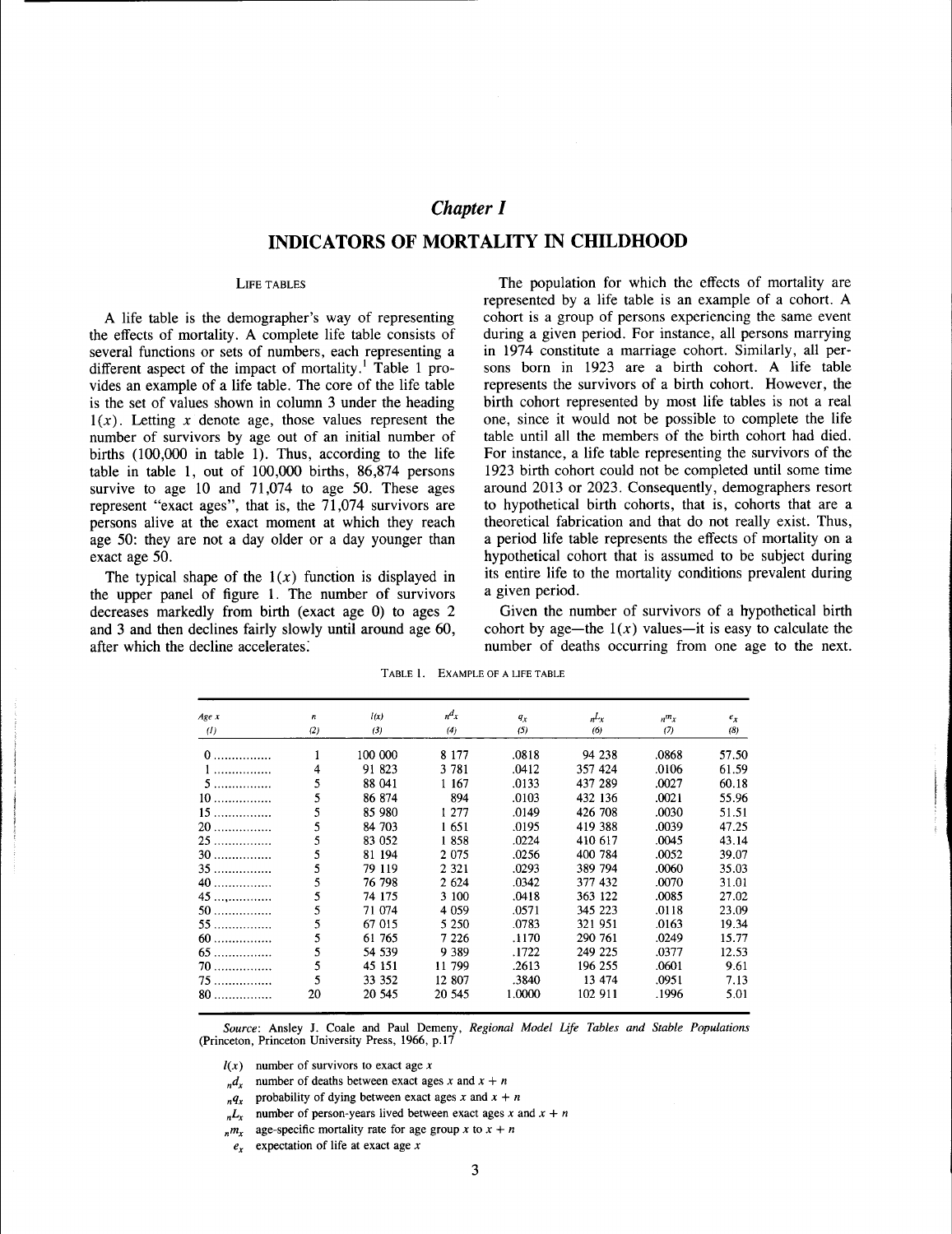# *Chapter I*

# **INDICATORS OF MORTALITY IN CHILDHOOD**

### LIFE TABLES

A life table is the demographer's way of representing the effects of mortality. A complete life table consists of several functions or sets of numbers, each representing a different aspect of the impact of mortality.<sup>1</sup> Table 1 provides an example of a life table. The core of the life table is the set of values shown in column 3 under the heading  $1(x)$ . Letting x denote age, those values represent the number of survivors by age out of an initial number of births (100,000 in table 1). Thus, according to the life table in table 1, out of 100,000 births, 86,874 persons survive to age 10 and 71,074 to age 50. These ages represent "exact ages", that is, the 71,074 survivors are persons alive at the exact moment at which they reach age 50: they are not a day older or a day younger than exact age 50.

The typical shape of the  $1(x)$  function is displayed in the upper panel of figure 1. The number of survivors decreases markedly from birth (exact age 0) to ages 2 and 3 and then declines fairly slowly until around age 60, after which the decline accelerates:

The population for which the effects of mortality are represented by a life table is an example of a cohort. A cohort is a group of persons experiencing the same event during a given period. For instance, all persons marrying in 1974 constitute a marriage cohort. Similarly, all persons born in 1923 are a birth cohort. A life table represents the survivors of a birth cohort. However, the birth cohort represented by most life tables is not a real one, since it would not be possible to complete the life table until all the members of the birth cohort had died. For instance, a life table representing the survivors of the 1923 birth cohort could not be completed until some time around 2013 or 2023. Consequently, demographers resort to hypothetical birth cohorts, that is, cohorts that are a theoretical fabrication and that do not really exist. Thus, a period life table represents the effects of mortality on a hypothetical cohort that is assumed to be subject during its entire life to the mortality conditions prevalent during a given period.

Given the number of survivors of a hypothetical birth cohort by age—the  $1(x)$  values—it is easy to calculate the number of deaths occurring from one age to the next.

| Age x | n   | l(x)    | $n \times$ | $q_{x}$ | n <sup>L</sup> x | $n^m x$ | $e_x$ |
|-------|-----|---------|------------|---------|------------------|---------|-------|
| (1)   | (2) | (3)     | (4)        | (5)     | (6)              | (7)     | (8)   |
| $0$   |     | 100 000 | 8 1 7 7    | .0818   | 94 238           | .0868   | 57.50 |
| $1$   | 4   | 91 823  | 3 7 8 1    | .0412   | 357 424          | .0106   | 61.59 |
| 5.    | 5   | 88 041  | 1 167      | .0133   | 437 289          | .0027   | 60.18 |
| $10$  | 5   | 86 874  | 894        | .0103   | 432 136          | .0021   | 55.96 |
| $15$  | 5   | 85 980  | 1 277      | .0149   | 426 708          | .0030   | 51.51 |
| 20    | 5   | 84 703  | 1651       | .0195   | 419 388          | .0039   | 47.25 |
| $25$  | 5   | 83 052  | 1858       | .0224   | 410 617          | .0045   | 43.14 |
| $30$  | 5   | 81 194  | 2 0 7 5    | .0256   | 400 784          | .0052   | 39.07 |
| $35$  | 5   | 79 119  | 2 3 2 1    | .0293   | 389 794          | .0060   | 35.03 |
| 40    | 5   | 76 798  | 2 624      | .0342   | 377 432          | .0070   | 31.01 |
| $45$  | 5   | 74 175  | 3 100      | .0418   | 363 122          | .0085   | 27.02 |
| $50$  | 5   | 71 074  | 4 0 5 9    | .0571   | 345 223          | .0118   | 23.09 |
| 55.   | 5   | 67 015  | 5 2 5 0    | .0783   | 321 951          | .0163   | 19.34 |
| $60$  | 5   | 61 765  | 7 2 2 6    | .1170   | 290 761          | .0249   | 15.77 |
| $65$  | 5   | 54 539  | 9 3 8 9    | .1722   | 249 225          | .0377   | 12.53 |
| $70$  | 5   | 45 151  | 11 799     | .2613   | 196 255          | .0601   | 9.61  |
| $75$  | 5   | 33 352  | 12 807     | .3840   | 13 474           | .0951   | 7.13  |
| $80$  | 20  | 20 545  | 20 545     | 1.0000  | 102 911          | .1996   | 5.01  |

TABLE 1. EXAMPLE OF A LIFE TABLE

*Source:* Ansley J. Coale and Paul Demeny, *Regional Model Life Tables and Stable Populations* (Princeton. Princeton University Press. 1966. p.17

 $l(x)$  number of survivors to exact age x

- $n \frac{d}{dx}$  number of deaths between exact ages *x* and  $x + n$
- $nq_x$  probability of dying between exact ages *x* and  $x + n$
- $n_{n}L_{x}$  number of person-years lived between exact ages *x* and  $x + n$
- $n<sub>n</sub>m<sub>x</sub>$  age-specific mortality rate for age group *x* to  $x + n$
- $e_x$  expectation of life at exact age  $x$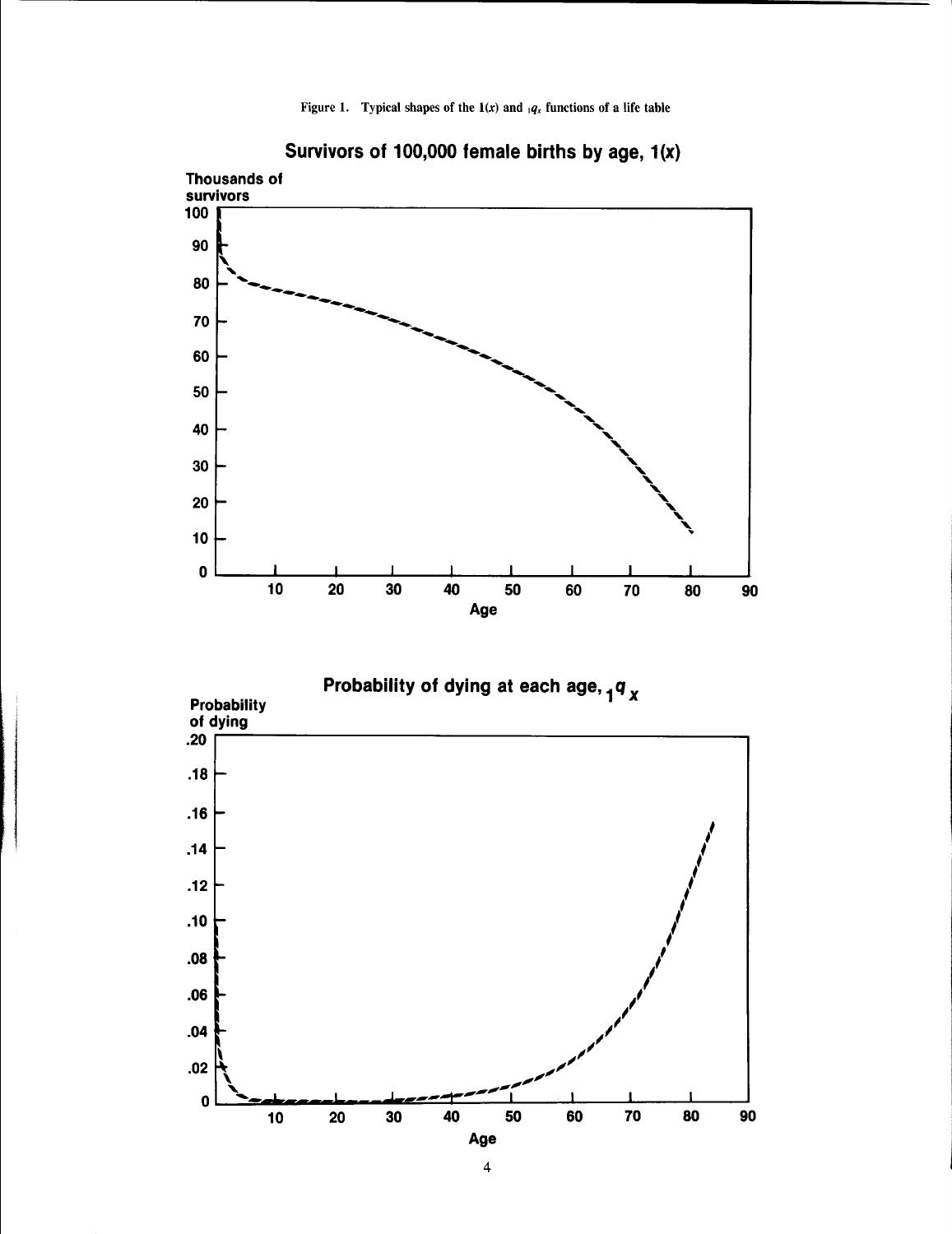Figure 1. Typical shapes of the  $1(x)$  and  $_1q_x$  functions of a life table





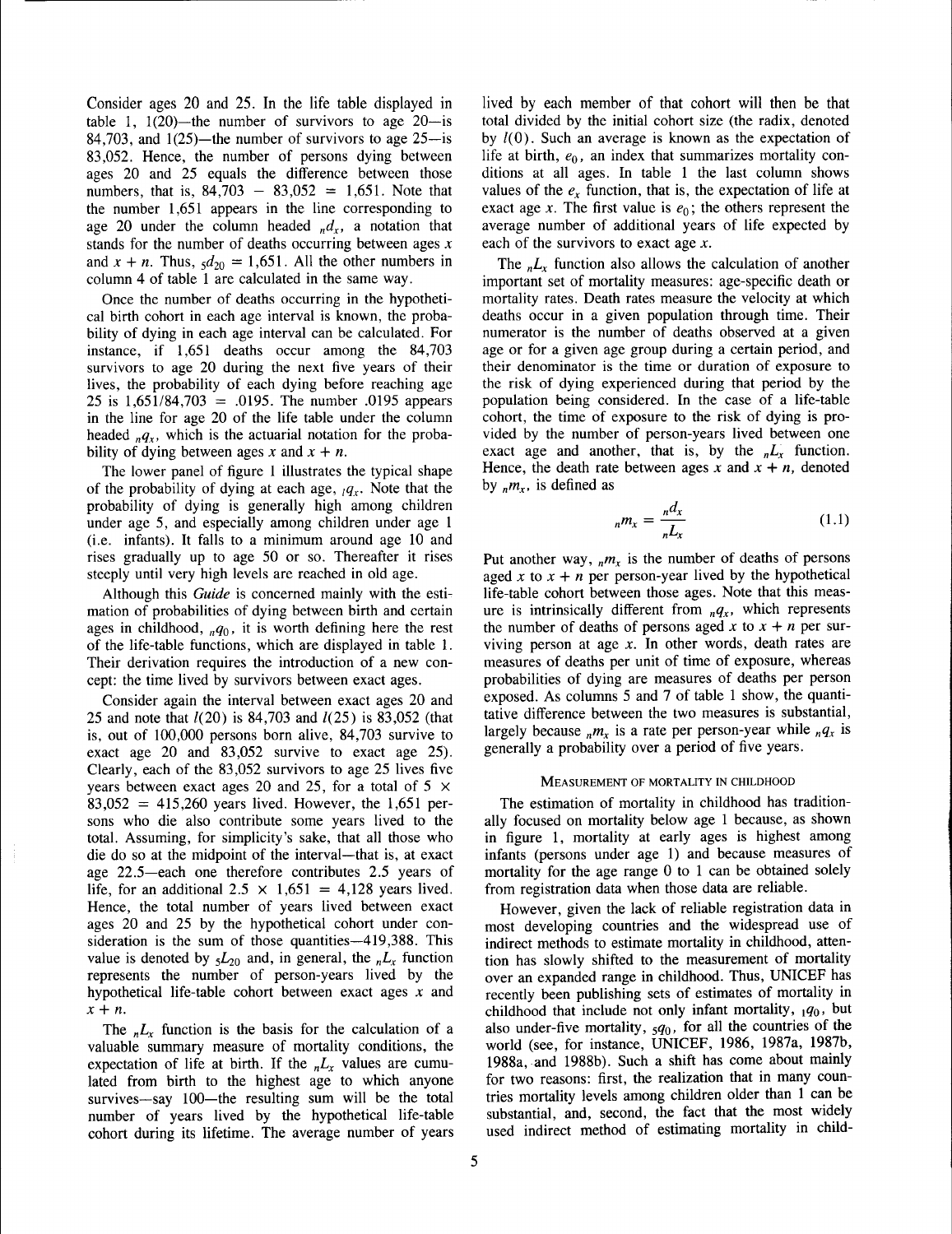Consider ages 20 and 25. In the life table displayed in table 1,  $1(20)$ —the number of survivors to age 20—is 84,703, and  $1(25)$ —the number of survivors to age 25—is 83,052. Hence, the number of persons dying between ages 20 and 25 equals the difference between those numbers, that is,  $84,703 - 83,052 = 1,651$ . Note that the number 1,651 appears in the line corresponding to age 20 under the column headed  $_n d_x$ , a notation that stands for the number of deaths occurring between ages *x* and  $x + n$ . Thus,  $\frac{d}{20} = 1,651$ . All the other numbers in column 4 of table 1 are calculated in the same way.

Once the number of deaths occurring in the hypothetical birth cohort in each age interval is known, the probability of dying in each age interval can be calculated. For instance, if 1,651 deaths occur among the 84,703 survivors to age 20 during the next five years of their lives, the probability of each dying before reaching age 25 is 1,651/84,703 = .0195. The number .0195 appears in the line for age 20 of the life table under the column headed  $_nq_x$ , which is the actuarial notation for the probability of dying between ages  $x$  and  $x + n$ .

The lower panel of figure 1 illustrates the typical shape of the probability of dying at each age,  $q<sub>x</sub>$ . Note that the probability of dying is generally high among children under age 5, and especially among children under age 1 (i.e. infants). It falls to a minimum around age 10 and rises gradually up to age 50 or so. Thereafter it rises steeply until very high levels are reached in old age.

Although this *Guide* is concerned mainly with the estimation of probabilities of dying between birth and certain ages in childhood,  $_nq_0$ , it is worth defining here the rest of the life-table functions, which are displayed in table 1. Their derivation requires the introduction of a new concept: the time lived by survivors between exact ages.

Consider again the interval between exact ages 20 and 25 and note that 1(20) is 84,703 and 1(25) is 83,052 (that is, out of 100,000 persons born alive, 84,703 survive to exact age 20 and 83,052 survive to exact age 25). Clearly, each of the 83,052 survivors to age 25 lives five years between exact ages 20 and 25, for a total of 5  $\times$  $83,052 = 415,260$  years lived. However, the 1,651 persons who die also contribute some years lived to the total. Assuming, for simplicity's sake, that all those who die do so at the midpoint of the interval—that is, at exact age 22.5-each one therefore contributes 2.5 years of life, for an additional  $2.5 \times 1,651 = 4,128$  years lived. Hence, the total number of years lived between exact ages 20 and 25 by the hypothetical cohort under consideration is the sum of those quantities-419,388. This value is denoted by  $5L_{20}$  and, in general, the  $nL_x$  function represents the number of person-years lived by the hypothetical life-table cohort between exact ages *x* and *x* + *n.*

The  $nL_x$  function is the basis for the calculation of a valuable summary measure of mortality conditions, the expectation of life at birth. If the  $nL_x$  values are cumulated from birth to the highest age to which anyone survives-say 100-the resulting sum will be the total number of years lived by the hypothetical life-table cohort during its lifetime. The average number of years

lived by each member of that cohort will then be that total divided by the initial cohort size (the radix, denoted by  $l(0)$ . Such an average is known as the expectation of life at birth, *eo,* an index that summarizes mortality conditions at all ages. In table 1 the last column shows values of the  $e_r$  function, that is, the expectation of life at exact age *x*. The first value is  $e_0$ ; the others represent the average number of additional years of life expected by each of the survivors to exact age *x.*

The  $nL_x$  function also allows the calculation of another important set of mortality measures: age-specific death or mortality rates. Death rates measure the velocity at which deaths occur in a given population through time. Their numerator is the number of deaths observed at a given age or for a given age group during a certain period, and their denominator is the time or duration of exposure to the risk of dying experienced during that period by the population being considered. In the case of a life-table cohort, the time of exposure to the risk of dying is provided by the number of person-years lived between one exact age and another, that is, by the  $nL_x$  function. Hence, the death rate between ages  $x$  and  $x + n$ , denoted by  $_{n}m_{x}$ , is defined as

$$
{}_{n}m_{x} = \frac{{}_{n}d_{x}}{{}_{n}L_{x}} \tag{1.1}
$$

Put another way,  $_{n}m_{x}$  is the number of deaths of persons aged x to  $x + n$  per person-year lived by the hypothetical life-table cohort between those ages. Note that this measure is intrinsically different from  $_nq_x$ , which represents the number of deaths of persons aged  $x$  to  $x + n$  per surviving person at age *x.* In other words, death rates are measures of deaths per unit of time of exposure, whereas probabilities of dying are measures of deaths per person exposed. As columns 5 and 7 of table 1 show, the quantitative difference between the two measures is substantial, largely because  $_n m_x$  is a rate per person-year while  $_n q_x$  is generally a probability over a period of five years.

### MEASUREMENT OF MORTALITY IN CHILDHOOD

The estimation of mortality in childhood has traditionally focused on mortality below age 1 because, as shown in figure 1, mortality at early ages is highest among infants (persons under age 1) and because measures of mortality for the age range 0 to 1 can be obtained solely from registration data when those data are reliable.

However, given the lack of reliable registration data in most developing countries and the widespread use of indirect methods to estimate mortality in childhood, attention has slowly shifted to the measurement of mortality over an expanded range in childhood. Thus, UNICEF has recently been publishing sets of estimates of mortality in childhood that include not only infant mortality, <sup>1</sup>*qo,* but also under-five mortality, *sqo,* for all the countries of the world (see, for instance, UNICEF, 1986, 1987a, 1987b, 1988a, and 1988b). Such a shift has come about mainly for two reasons: first, the realization that in many countries mortality levels among children older than 1 can be substantial, and, second, the fact that the most widely used indirect method of estimating mortality in child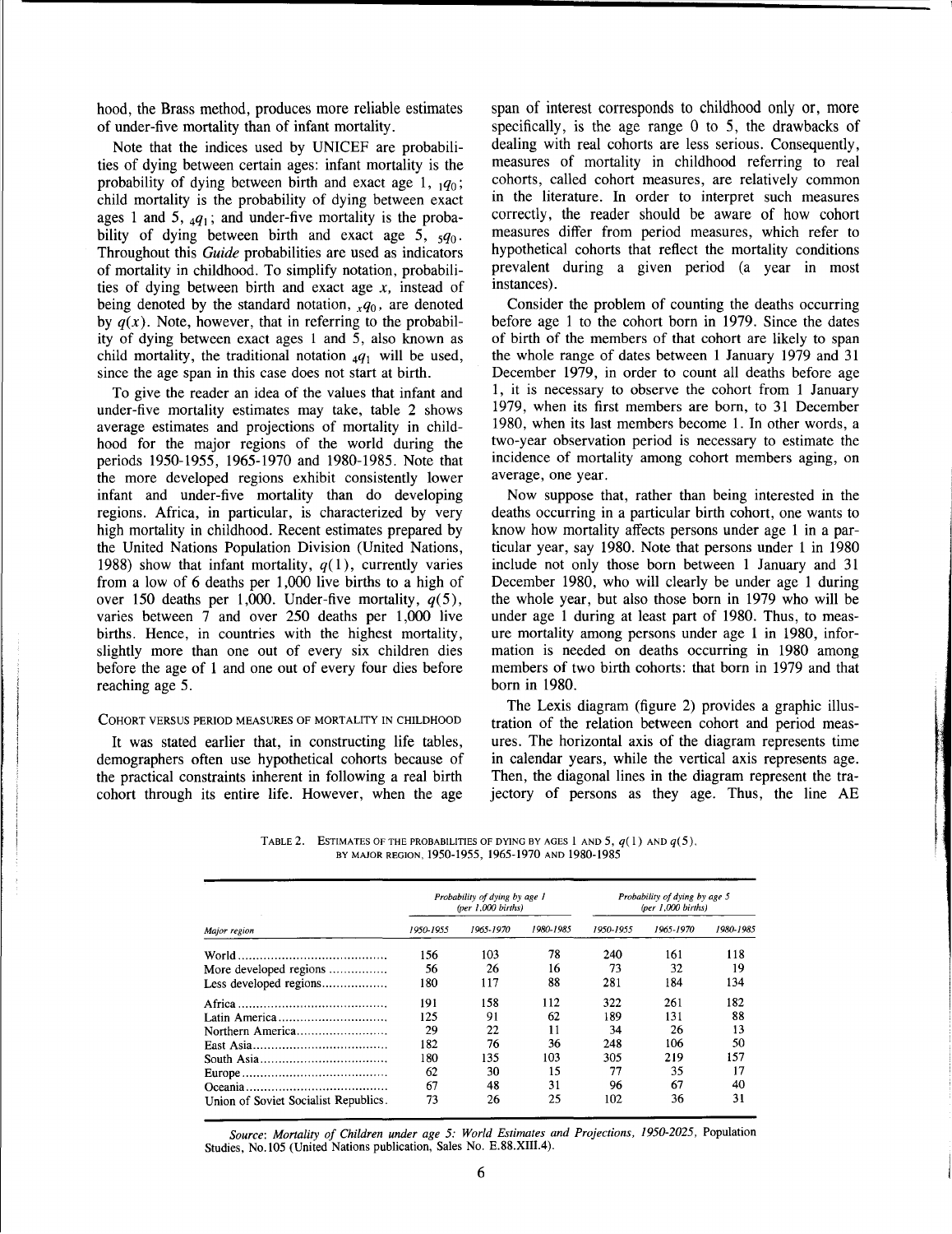hood, the Brass method, produces more reliable estimates of under-five mortality than of infant mortality.

Note that the indices used by UNICEF are probabilities of dying between certain ages: infant mortality is the probability of dying between birth and exact age 1,  $1q_0$ ; child mortality is the probability of dying between exact ages 1 and 5,  $_4q_1$ ; and under-five mortality is the probability of dying between birth and exact age 5, *sqo.* Throughout this *Guide* probabilities are used as indicators of mortality in childhood. To simplify notation, probabilities of dying between birth and exact age *x,* instead of being denoted by the standard notation,  $_xq_0$ , are denoted by  $q(x)$ . Note, however, that in referring to the probability of dying between exact ages 1 and 5, also known as child mortality, the traditional notation  $_4q_1$  will be used, since the age span in this case does not start at birth.

To give the reader an idea of the values that infant and under-five mortality estimates may take, table 2 shows average estimates and projections of mortality in childhood for the major regions of the world during the periods 1950-1955, 1965-1970 and 1980-1985. Note that the more developed regions exhibit consistently lower infant and under-five mortality than do developing regions. Africa, in particular, is characterized by very high mortality in childhood. Recent estimates prepared by the United Nations Population Division (United Nations, 1988) show that infant mortality,  $q(1)$ , currently varies from a low of 6 deaths per 1,000 live births to a high of over 150 deaths per 1,000. Under-five mortality,  $q(5)$ , varies between 7 and over 250 deaths per 1,000 live births. Hence, in countries with the highest mortality, slightly more than one out of every six children dies before the age of 1 and one out of every four dies before reaching age 5.

## COHORT VERSUS PERIOD MEASURES OF MORTALITY IN CHILDHOOD

It was stated earlier that, in constructing life tables, demographers often use hypothetical cohorts because of the practical constraints inherent in following a real birth cohort through its entire life. However, when the age

span of interest corresponds to childhood only or, more specifically, is the age range 0 to 5, the drawbacks of dealing with real cohorts are less serious. Consequently, measures of mortality in childhood referring to real cohorts, called cohort measures, are relatively common in the literature. In order to interpret such measures correctly, the reader should be aware of how cohort measures differ from period measures, which refer to hypothetical cohorts that reflect the mortality conditions prevalent during a given period (a year in most instances) .

Consider the problem of counting the deaths occurring before age 1 to the cohort born in 1979. Since the dates of birth of the members of that cohort are likely to span the whole range of dates between 1 January 1979 and 31 December 1979, in order to count all deaths before age 1, it is necessary to observe the cohort from 1 January 1979, when its first members are born, to 31 December 1980, when its last members become 1. In other words, a two-year observation period is necessary to estimate the incidence of mortality among cohort members aging, on average, one year.

Now suppose that, rather than being interested in the deaths occurring in a particular birth cohort, one wants to know how mortality affects persons under age I in a particular year, say 1980. Note that persons under 1 in 1980 include not only those born between 1 January and 31 December 1980, who will clearly be under age 1 during the whole year, but also those born in 1979 who will be under age 1 during at least part of 1980. Thus, to measure mortality among persons under age 1 in 1980, information is needed on deaths occurring in 1980 among members of two birth cohorts: that born in 1979 and that born in 1980.

The Lexis diagram (figure 2) provides a graphic illustration of the relation between cohort and period measures. The horizontal axis of the diagram represents time in calendar years, while the vertical axis represents age. Then, the diagonal lines in the diagram represent the trajectory of persons as they age. Thus, the line AE

TABLE 2. ESTIMATES OF THE PROBABILITIES OF DYING BY AGES 1 AND 5,  $q(1)$  and  $q(5)$ , BY MAJOR REGION. 1950-1955, 1965-1970 AND 1980-1985

|                                      |           | Probability of dying by age 1<br>(per $1,000$ births) |           | Probability of dying by age 5<br>$(per\,1,000\,births)$ |           |           |
|--------------------------------------|-----------|-------------------------------------------------------|-----------|---------------------------------------------------------|-----------|-----------|
| Major region                         | 1950-1955 | 1965-1970                                             | 1980-1985 | 1950-1955                                               | 1965-1970 | 1980-1985 |
|                                      | 156       | 103                                                   | 78        | 240                                                     | 161       | 118       |
| More developed regions               | 56        | 26                                                    | 16        | 73                                                      | 32        | 19        |
| Less developed regions               | 180       | 117                                                   | 88        | 281                                                     | 184       | 134       |
|                                      | 191       | 158                                                   | 112       | 322                                                     | 261       | 182       |
| Latin America                        | 125       | 91                                                    | 62        | 189                                                     | 131       | 88        |
| Northern America                     | 29        | 22                                                    | 11        | 34                                                      | 26        | 13        |
|                                      | 182       | 76                                                    | 36        | 248                                                     | 106       | 50        |
|                                      | 180       | 135                                                   | 103       | 305                                                     | 219       | 157       |
|                                      | 62        | 30                                                    | 15        | 77                                                      | 35        | 17        |
|                                      | 67        | 48                                                    | 31        | 96                                                      | 67        | 40        |
| Union of Soviet Socialist Republics. | 73        | 26                                                    | 25        | 102                                                     | 36        | 31        |

*Source: Mortality of Children under age* 5: *World Estimates and Projections, 1950-2025,* Population Studies, No. 105 (United Nations publication, Sales No. E.88.XIII.4).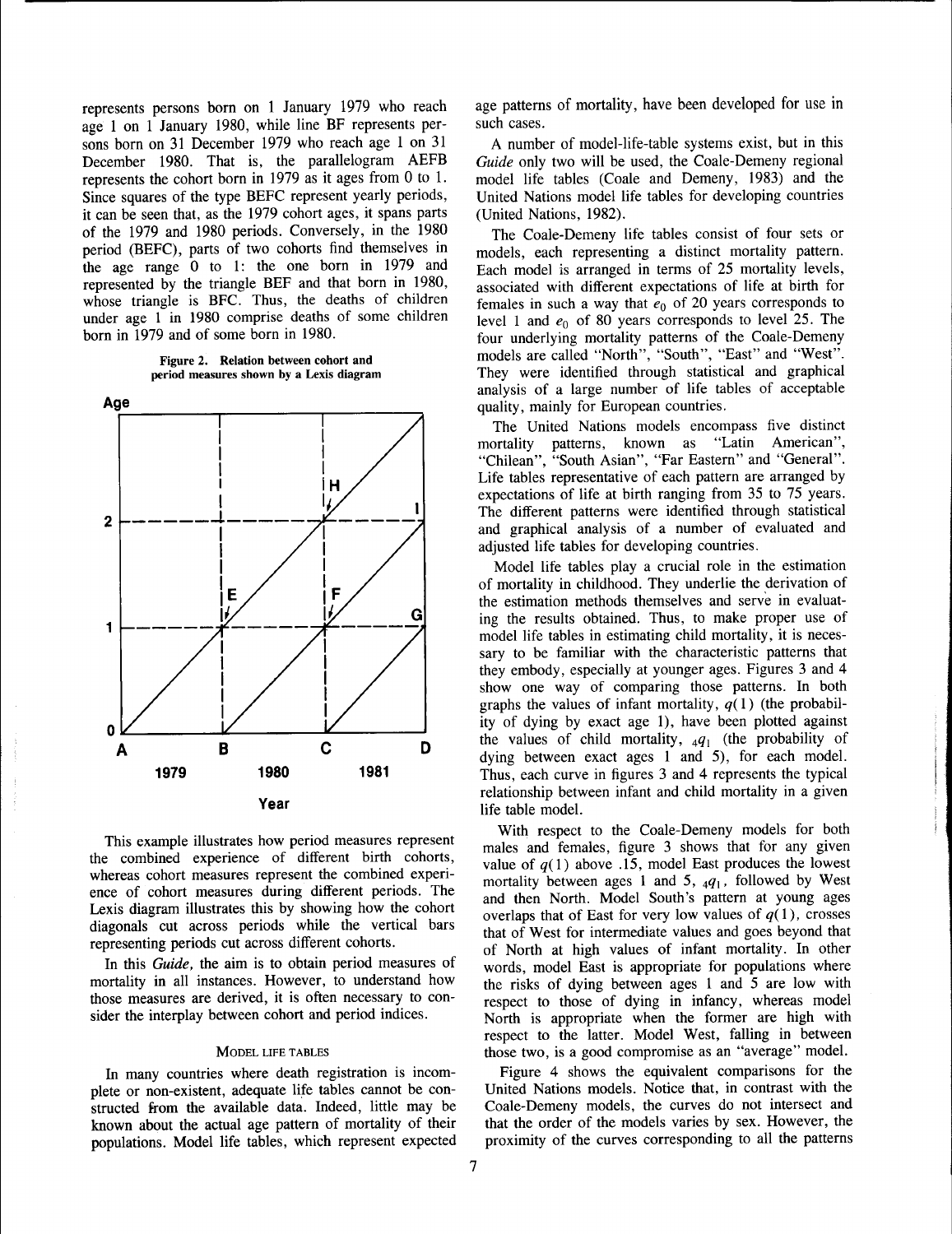represents persons born on 1 January 1979 who reach age 1 on 1 January 1980, while line BF represents persons born on 31 December 1979 who reach age 1 on 31 December 1980. That is, the parallelogram AEFB December 1980. That is, the parallelogram AEFB<br>represents the cohort born in 1979 as it ages from 0 to 1. Since squares of the type BEFC represent yearly periods, it can be seen that, as the 1979 cohort ages, it spans parts of the 1979 and 1980 periods. Conversely, in the 1980 period (BEFC), parts of two cohorts find themselves in period (BEFC), parts of two cohorts find themselves in<br>the age range 0 to 1: the one born in 1979 and represented by the triangle BEF and that born in 1980, whose triangle is BFC. Thus, the deaths of children under age 1 in 1980 comprise deaths of some children born in 1979 and of some born in 1980.

Figure 2. Relation between cohort and period measures shown by a Lexis diagram



This example illustrates how period measures represent the combined experience of different birth cohorts, whereas cohort measures represent the combined experience of cohort measures during different periods. The Lexis diagram illustrates this by showing how the cohort diagonals cut across periods while the vertical bars representing periods cut across different cohorts.

In this *Guide,* the aim is to obtain period measures of mortality in all instances. However, to understand how those measures are derived, it is often necessary to consider the interplay between cohort and period indices.

### MODEL LIFE TABLES

In many countries where death registration is incomplete or non-existent, adequate life tables cannot be constructed from the available data. Indeed, little may be known about the actual age pattern of mortality of their populations. Model life tables, which represent expected age patterns of mortality, have been developed for use in such cases.

A number of model-life-table systems exist, but in this *Guide* only two will be used, the Coale-Demeny regional model life tables (Coale and Demeny, 1983) and the United Nations model life tables for developing countries (United Nations, 1982).

The Coale-Demeny life tables consist of four sets or models, each representing a distinct mortality pattern. Each model is arranged in terms of 25 mortality levels, associated with different expectations of life at birth for females in such a way that  $e_0$  of 20 years corresponds to level 1 and  $e_0$  of 80 years corresponds to level 25. The four underlying mortality patterns of the Coale-Demeny models are called "North", "South", "East" and "West". They were identified through statistical and graphical analysis of a large number of life tables of acceptable quality, mainly for European countries.

The United Nations models encompass five distinct<br>
ortality natterns, known as "Latin American", mortality patterns, known as "Latin "Chilean", "South Asian", "Far Eastern" and "General". Life tables representative of each pattern are arranged by expectations of life at birth ranging from 35 to 75 years. The different patterns were identified through statistical and graphical analysis of a number of evaluated and adjusted life tables for developing countries.

Model life tables play a crucial role in the estimation of mortality in childhood. They underlie the derivation of the estimation methods themselves and serve in evaluating the results obtained. Thus, to make proper use of model life tables in estimating child mortality, it is necessary to be familiar with the characteristic patterns that they embody, especially at younger ages. Figures 3 and 4 show one way of comparing those patterns. In both graphs the values of infant mortality,  $q(1)$  (the probability of dying by exact age 1), have been plotted against the values of child mortality,  $_4q_1$  (the probability of dying between exact ages 1 and 5), for each model. Thus, each curve in figures 3 and 4 represents the typical relationship between infant and child mortality in a given life table model.

With respect to the Coale-Demeny models for both males and females, figure 3 shows that for any given value of  $q(1)$  above .15, model East produces the lowest mortality between ages 1 and 5,  $_4q_1$ , followed by West and then North. Model South's pattern at young ages overlaps that of East for very low values of  $q(1)$ , crosses that of West for intermediate values and goes beyond that of North at high values of infant mortality. In other words, model East is appropriate for populations where the risks of dying between ages 1 and 5 are low with respect to those of dying in infancy, whereas model North is appropriate when the former are high with respect to the latter. Model West, falling in between those two, is a good compromise as an "average" model.

Figure 4 shows the equivalent comparisons for the United Nations models. Notice that, in contrast with the Coale-Demeny models, the curves do not intersect and that the order of the models varies by sex. However, the proximity of the curves corresponding to all the patterns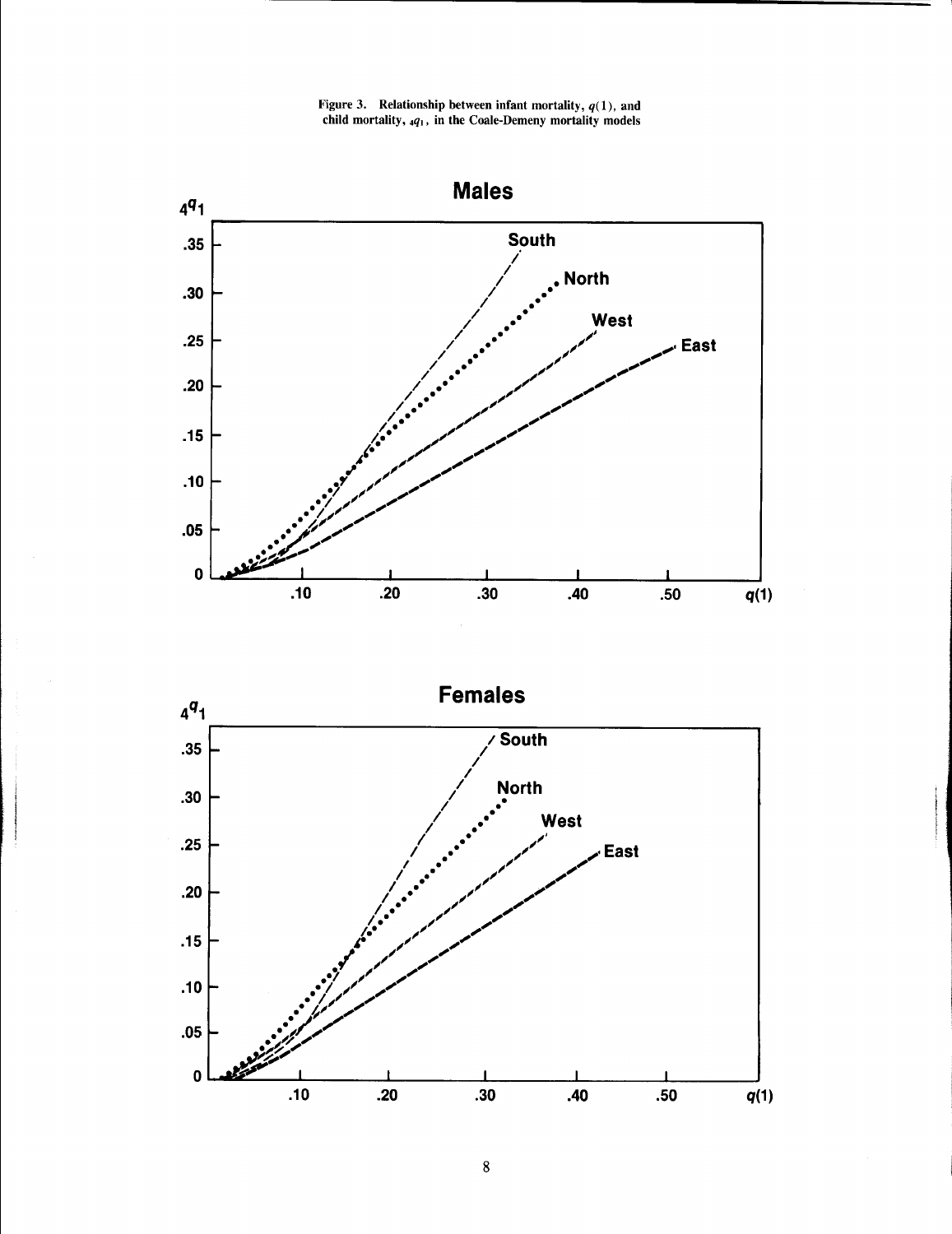Figure 3. Relationship between infant mortality,  $q(1)$ , and child mortality, *4q.,* in the Coale-Demeny mortality models



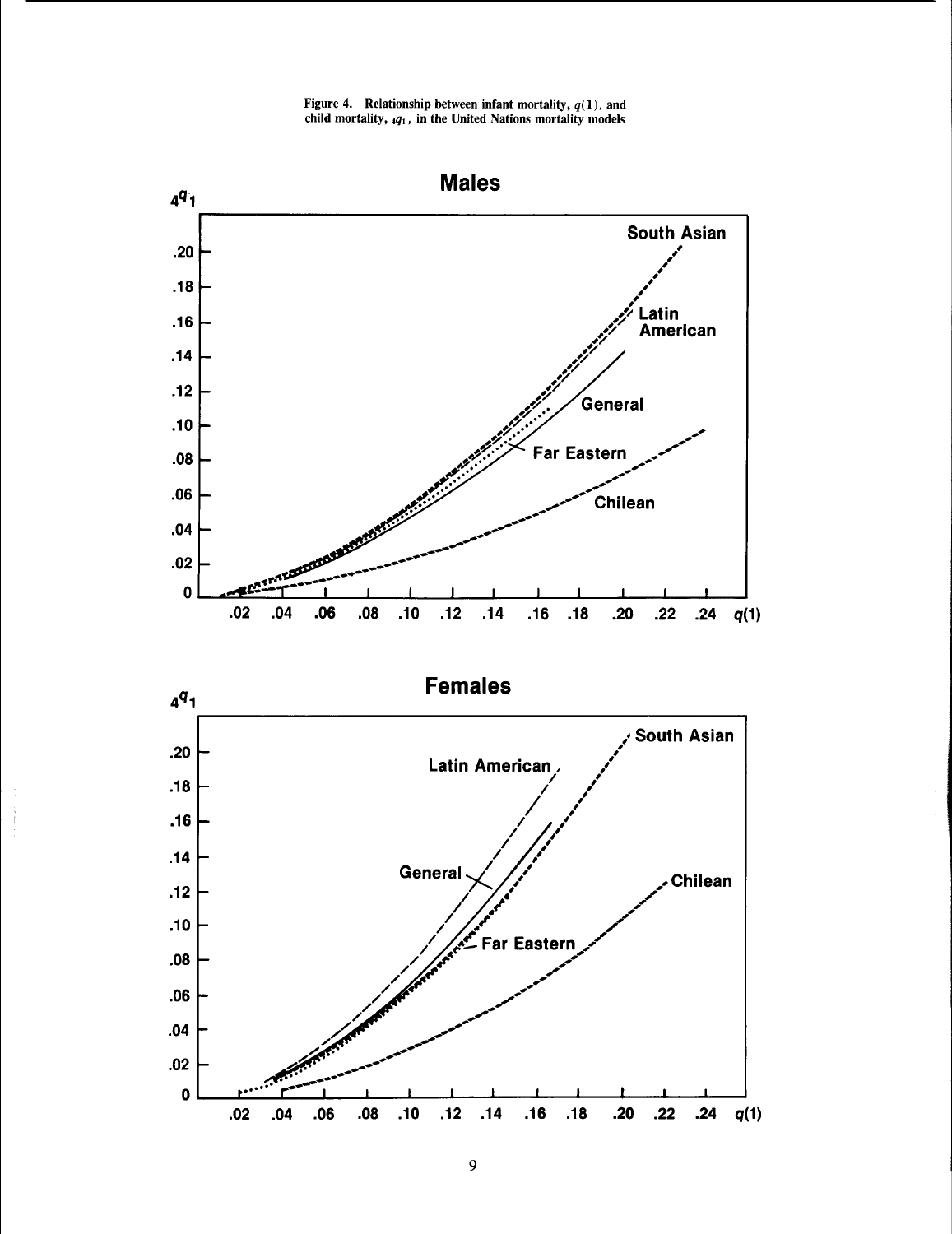Figure 4. Relationship between infant mortality,  $q(1)$ , and child mortality,  $_4q_1$ , in the United Nations mortality models

![](_page_6_Figure_1.jpeg)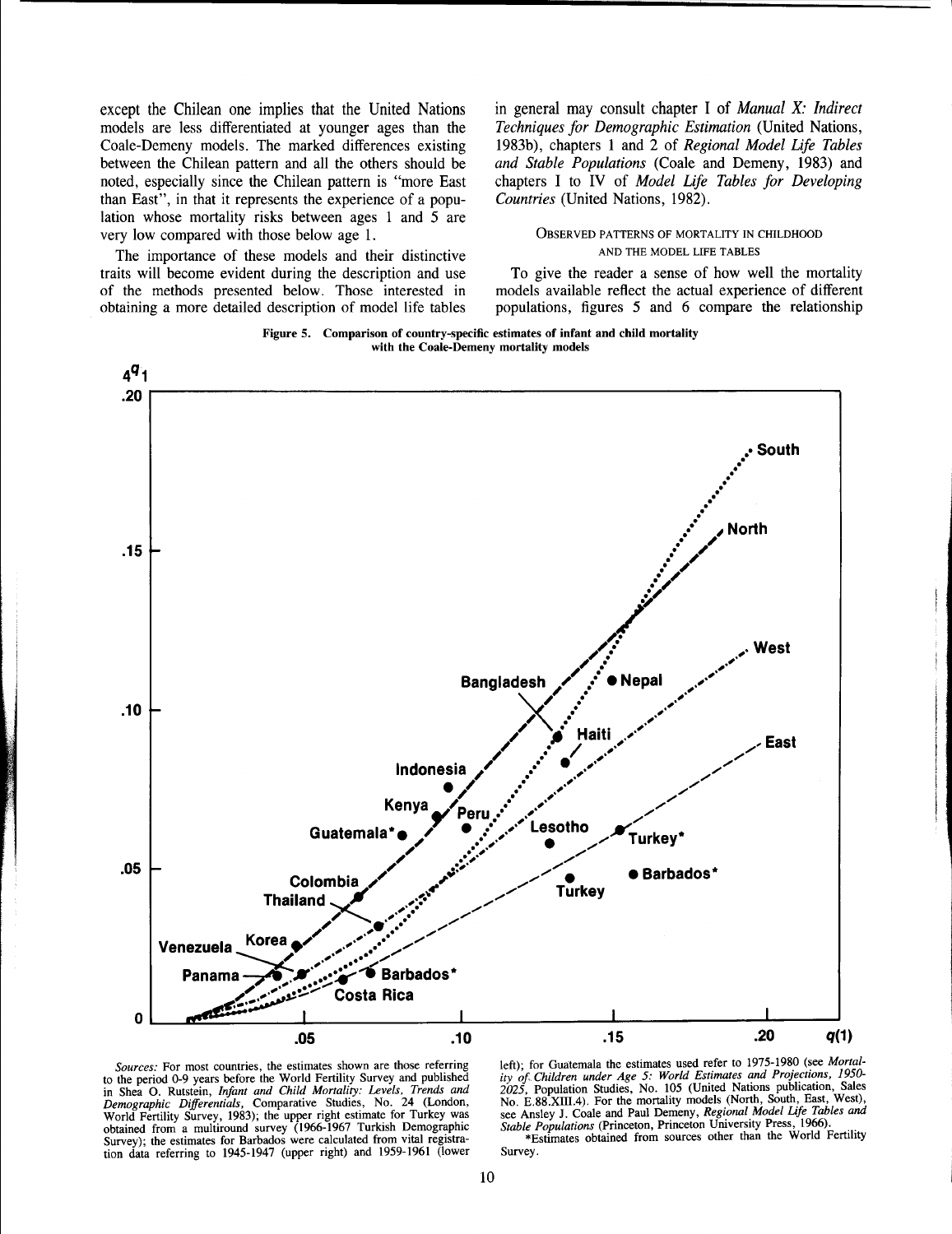except the Chilean one implies that the United Nations models are less differentiated at younger ages than the Coale-Demeny models. The marked differences existing between the Chilean pattern and all the others should be noted, especially since the Chilean pattern is "more East than East", in that it represents the experience of a population whose mortality risks between ages 1 and 5 are very low compared with those below age 1.

The importance of these models and their distinctive traits will become evident during the description and use of the methods presented below. Those interested in obtaining a more detailed description of model life tables in general may consult chapter I of *Manual* X: *Indirect Techniques for Demographic Estimation* (United Nations, 1983b), chapters 1 and 2 of *Regional Model Life Tables and Stable Populations* (Coale and Demeny, 1983) and chapters I to IV of *Model Life Tables for Developing Countries* (United Nations, 1982).

## OBSERVED PATTERNS OF MORTALITY IN CHILDHOOD AND THE MODEL LIFE TABLES

To give the reader a sense of how well the mortality models available reflect the actual experience of different populations, figures 5 and 6 compare the relationship

![](_page_7_Figure_5.jpeg)

![](_page_7_Figure_6.jpeg)

*Sources:* For most countries, the estimates shown are those referring to the period 0-9 years before the World Fertility Survey and published in Shea O. Rutstein. *Infant and Child Mortality: Levels, Trends and Demographic Differentials,* Comparative Studies, No. 24 (London, World Fertility Survey, 1983); the upper right estimate for Turkey was obtained from a multiround survey (1966-1967 Turkish Demographic Survey); the estimates for Barbados were calculated from vital registration data referring to 1945-1947 (upper right) and 1959-1961 (lower left); for Guatemala the estimates used refer to 1975-1980 (see *Mortality of. Children under Age* 5: *World Estimates and Projections, 1950-* 2025, Population Studies, No. 105 (United Nations publication, Sales<br>No. E.88.XIII.4). For the mortality models (North, South, East, West), see Ansley J. Coale and Paul Demeny, *Regional Model Life Tables* and

*Stable Populations* (Princeton, Princeton University Press, 1966). .. \*Estimates obtained from sources other than the World Fertility Survey.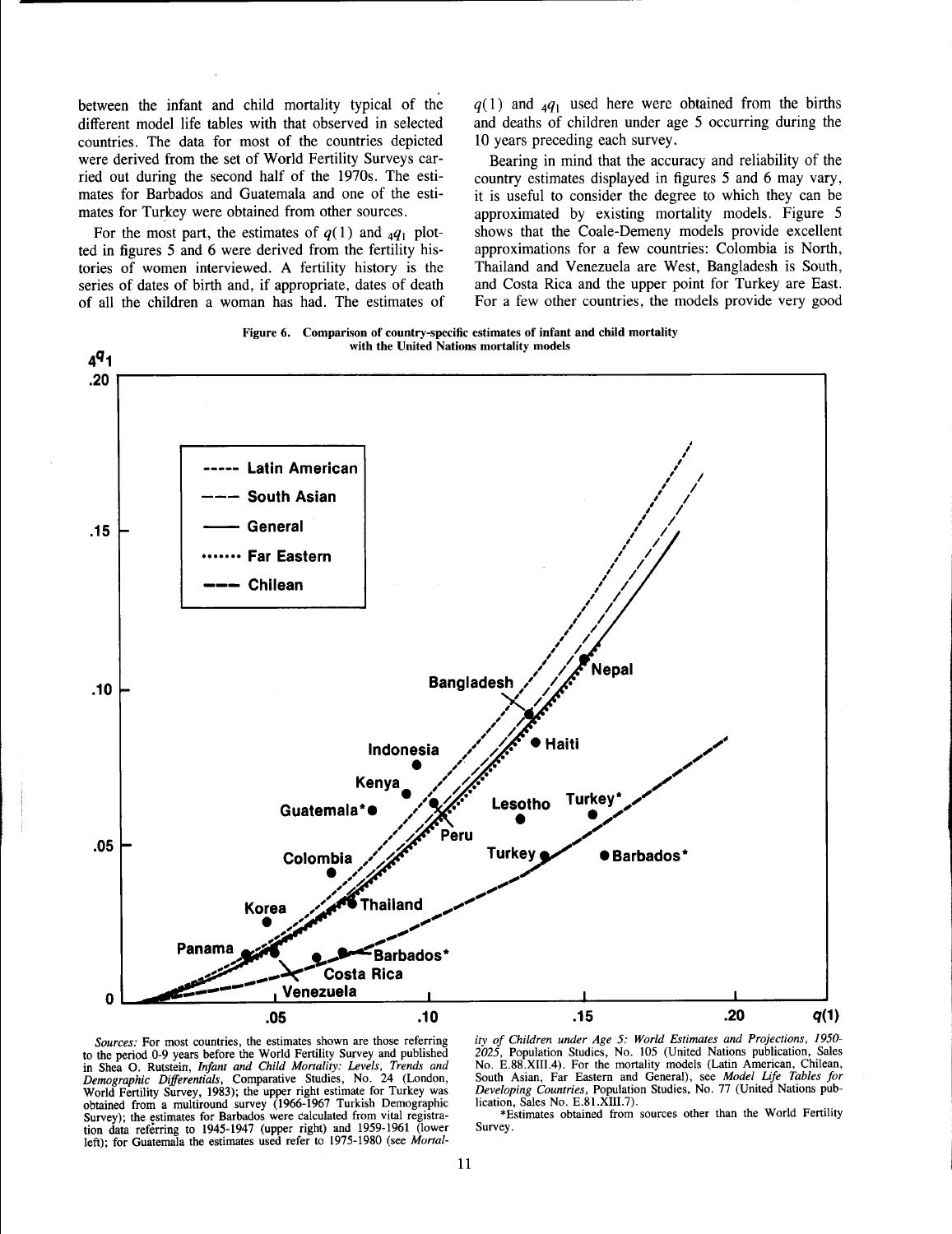between the infant and child mortality typical of the different model life tables with that observed in selected countries. The data for most of the countries depicted were derived from the set of World Fertility Surveys carried out during the second half of the 1970s. The estimates for Barbados and Guatemala and one of the estimates for Turkey were obtained from other sources.

For the most part, the estimates of  $q(1)$  and  $_4q_1$  plotted in figures 5 and 6 were derived from the fertility histories of women interviewed. A fertility history is the series of dates of birth and, if appropriate, dates of death of all the children a woman has had. The estimates of  $q(1)$  and  $_4q_1$  used here were obtained from the births and deaths of children under age 5 occurring during the 10 years preceding each survey.

Bearing in mind that the accuracy and reliability of the country estimates displayed in figures 5 and 6 may vary, it is useful to consider the degree to which they can be approximated by existing mortality models. Figure 5 shows that the Coale-Demeny models provide excellent approximations for a few countries: Colombia is North, Thailand and Venezuela are West, Bangladesh is South, and Costa Rica and the upper point for Turkey are East. For a few other countries, the models provide very good

Figure 6. Comparison of country-specific estimates of infant and child mortality with the United Nations mortality models

![](_page_8_Figure_5.jpeg)

![](_page_8_Figure_6.jpeg)

*ity of Children under Age* 5: *World Estimates and Projections. 1950- 2025.* Population Studies, No. 105 (United Nations publication, Sales No. E.88.XIII.4). For the mortality models (Latin American, Chilean, South Asian, Far Eastern and General), see *Model Life Tables for Developing Countries,* Population Studies, No. 77 (United Nations publication, Sales No. E.81.XllI.7).

\*Estimates obtained from sources other than the World Fertility Survey.